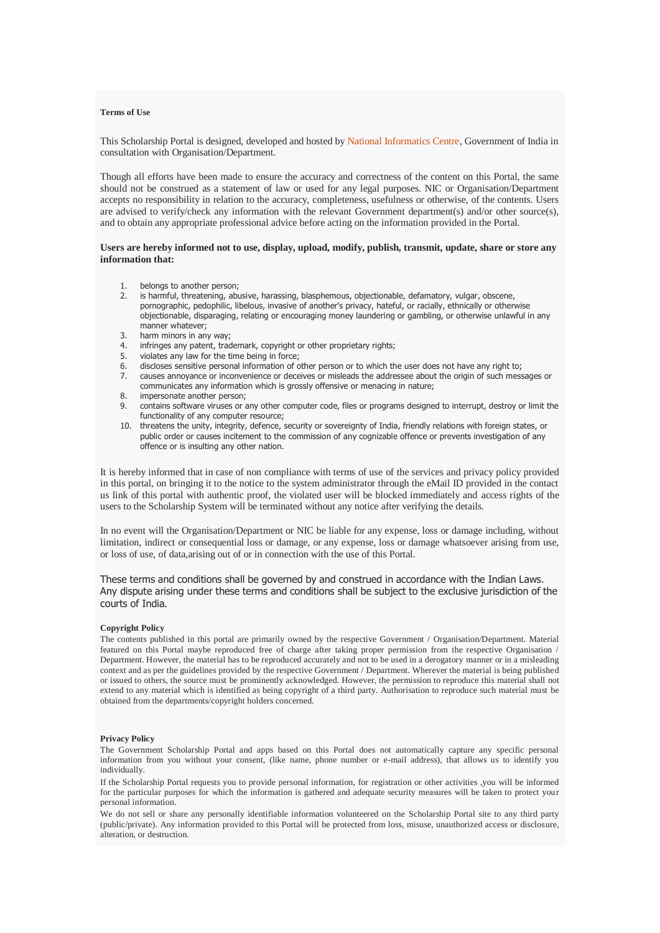# **Terms of Use**

This Scholarship Portal is designed, developed and hosted by [National Informatics Centre,](http://www.nic.in/) Government of India in consultation with Organisation/Department.

Though all efforts have been made to ensure the accuracy and correctness of the content on this Portal, the same should not be construed as a statement of law or used for any legal purposes. NIC or Organisation/Department accepts no responsibility in relation to the accuracy, completeness, usefulness or otherwise, of the contents. Users are advised to verify/check any information with the relevant Government department(s) and/or other source(s), and to obtain any appropriate professional advice before acting on the information provided in the Portal.

# **Users are hereby informed not to use, display, upload, modify, publish, transmit, update, share or store any information that:**

- 1. belongs to another person;<br>2. is harmful, threatening, abu
- is harmful, threatening, abusive, harassing, blasphemous, objectionable, defamatory, vulgar, obscene, pornographic, pedophilic, libelous, invasive of another's privacy, hateful, or racially, ethnically or otherwise objectionable, disparaging, relating or encouraging money laundering or gambling, or otherwise unlawful in any manner whatever;
- 3. harm minors in any way;
- 4. infringes any patent, trademark, copyright or other proprietary rights;
- 5. violates any law for the time being in force;
- 6. discloses sensitive personal information of other person or to which the user does not have any right to;
- 7. causes annoyance or inconvenience or deceives or misleads the addressee about the origin of such messages or communicates any information which is grossly offensive or menacing in nature;
- 8. impersonate another person;
- 9. contains software viruses or any other computer code, files or programs designed to interrupt, destroy or limit the functionality of any computer resource;
- 10. threatens the unity, integrity, defence, security or sovereignty of India, friendly relations with foreign states, or public order or causes incitement to the commission of any cognizable offence or prevents investigation of any offence or is insulting any other nation.

It is hereby informed that in case of non compliance with terms of use of the services and privacy policy provided in this portal, on bringing it to the notice to the system administrator through the eMail ID provided in the contact us link of this portal with authentic proof, the violated user will be blocked immediately and access rights of the users to the Scholarship System will be terminated without any notice after verifying the details.

In no event will the Organisation/Department or NIC be liable for any expense, loss or damage including, without limitation, indirect or consequential loss or damage, or any expense, loss or damage whatsoever arising from use, or loss of use, of data,arising out of or in connection with the use of this Portal.

These terms and conditions shall be governed by and construed in accordance with the Indian Laws. Any dispute arising under these terms and conditions shall be subject to the exclusive jurisdiction of the courts of India.

### **Copyright Policy**

The contents published in this portal are primarily owned by the respective Government / Organisation/Department. Material featured on this Portal maybe reproduced free of charge after taking proper permission from the respective Organisation / Department. However, the material has to be reproduced accurately and not to be used in a derogatory manner or in a misleading context and as per the guidelines provided by the respective Government / Department. Wherever the material is being published or issued to others, the source must be prominently acknowledged. However, the permission to reproduce this material shall not extend to any material which is identified as being copyright of a third party. Authorisation to reproduce such material must be obtained from the departments/copyright holders concerned.

### **Privacy Policy**

The Government Scholarship Portal and apps based on this Portal does not automatically capture any specific personal information from you without your consent, (like name, phone number or e-mail address), that allows us to identify you individually.

If the Scholarship Portal requests you to provide personal information, for registration or other activities ,you will be informed for the particular purposes for which the information is gathered and adequate security measures will be taken to protect your personal information.

We do not sell or share any personally identifiable information volunteered on the Scholarship Portal site to any third party (public/private). Any information provided to this Portal will be protected from loss, misuse, unauthorized access or disclosure, alteration, or destruction.